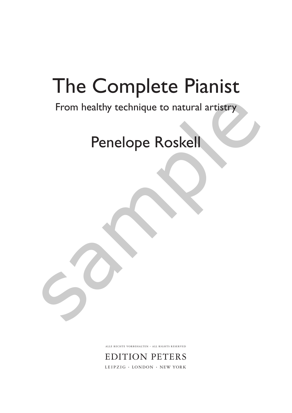# The Complete Pianist

# From healthy technique to natural artistry From healthy technique to natural artistry<br>Penelope Roskell

# Penelope Roskell

ALLE RECHTE VORBEHALTEN · ALL RIGHTS RESERVED

EDITION PETERS LEIPZIG · LONDON · NEW YORK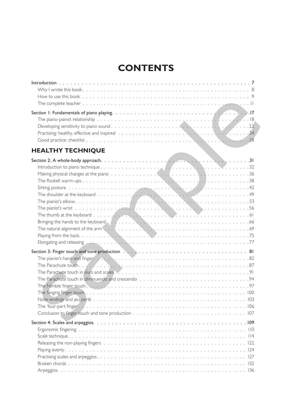# **CONTENTS**

| Practising: healthy, effective and inspired resources and services of the services of the services of the services of the services of the services of the services of the services of the services of the services of the serv |  |
|--------------------------------------------------------------------------------------------------------------------------------------------------------------------------------------------------------------------------------|--|
|                                                                                                                                                                                                                                |  |

# **HEALTHY TECHNIQUE**

| <b>HEALTHY TECHNIQUE</b>                                                                                                                                                                                                       |  |
|--------------------------------------------------------------------------------------------------------------------------------------------------------------------------------------------------------------------------------|--|
|                                                                                                                                                                                                                                |  |
|                                                                                                                                                                                                                                |  |
|                                                                                                                                                                                                                                |  |
|                                                                                                                                                                                                                                |  |
|                                                                                                                                                                                                                                |  |
|                                                                                                                                                                                                                                |  |
|                                                                                                                                                                                                                                |  |
|                                                                                                                                                                                                                                |  |
|                                                                                                                                                                                                                                |  |
|                                                                                                                                                                                                                                |  |
|                                                                                                                                                                                                                                |  |
|                                                                                                                                                                                                                                |  |
| Elongating and releasing Fig. (1997). The contract of the contract of the contract of the contract of the contract of the contract of the contract of the contract of the contract of the contract of the contract of the cont |  |
|                                                                                                                                                                                                                                |  |
|                                                                                                                                                                                                                                |  |
|                                                                                                                                                                                                                                |  |
|                                                                                                                                                                                                                                |  |
|                                                                                                                                                                                                                                |  |
|                                                                                                                                                                                                                                |  |
|                                                                                                                                                                                                                                |  |
|                                                                                                                                                                                                                                |  |
|                                                                                                                                                                                                                                |  |
|                                                                                                                                                                                                                                |  |
|                                                                                                                                                                                                                                |  |
| Ergonomic fingering business and a series of the series of the series of the series of the series of the series of the series of the series of the series of the series of the series of the series of the series of the serie |  |
|                                                                                                                                                                                                                                |  |
|                                                                                                                                                                                                                                |  |
|                                                                                                                                                                                                                                |  |
|                                                                                                                                                                                                                                |  |
|                                                                                                                                                                                                                                |  |
|                                                                                                                                                                                                                                |  |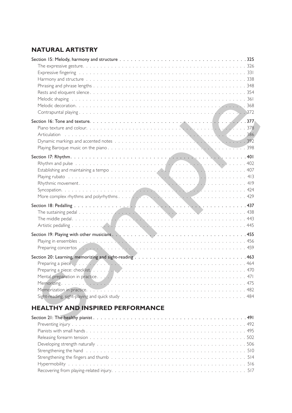# **NATURAL ARTISTRY**

| Preparing concertos Andrea March 2014 (1994) 1996 (1996) 1997 (1998) 1998 (1998) 1999 (1998) 1999 (1998) 1999 (1999) 1999 (1999) 1999 (1999) 1999 (1999) 1999 (1999) 1999 (1999) 1999 (1999) 1999 (1999) 1999 (1999) 1999 (199 |  |
|--------------------------------------------------------------------------------------------------------------------------------------------------------------------------------------------------------------------------------|--|
|                                                                                                                                                                                                                                |  |
|                                                                                                                                                                                                                                |  |
| Preparing a piece. (and a contract of the contract of the contract of the contract of the contract of the contract of the contract of the contract of the contract of the contract of the contract of the contract of the cont |  |
|                                                                                                                                                                                                                                |  |
|                                                                                                                                                                                                                                |  |
|                                                                                                                                                                                                                                |  |
|                                                                                                                                                                                                                                |  |
|                                                                                                                                                                                                                                |  |
| <b>HEALTHY AND INSPIRED PERFORMANCE</b>                                                                                                                                                                                        |  |
|                                                                                                                                                                                                                                |  |
| 102                                                                                                                                                                                                                            |  |

# **HEALTHY AND INSPIRED PERFORMANCE**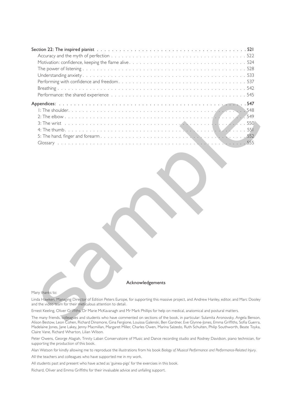| Acknowledgements                                                                                                                                                                                                                                                                      |
|---------------------------------------------------------------------------------------------------------------------------------------------------------------------------------------------------------------------------------------------------------------------------------------|
| Many thanks to:                                                                                                                                                                                                                                                                       |
|                                                                                                                                                                                                                                                                                       |
| Linda Hawken, Managing Director of Edition Peters Europe, for supporting this massive project, and Andrew Hanley, editor, and Marc Dooley<br>and the video team for their meticulous attention to detail.                                                                             |
| Ernest Keeling, Oliver Griffiths, Dr Marie McKavanagh and Mr Mark Phillips for help on medical, anatomical and postural matters.                                                                                                                                                      |
| The many friends, colleagues and students who have commented on sections of the book, in particular: Sulamita Aronovsky, Angela Benson,<br>Alison Bestow, Leon Cohen, Richard Dinsmore, Gina Fergione, Louissa Galenski, Ben Gardner, Eve Glynne-Jones, Emma Griffiths, Sofia Guerra, |

#### Acknowledgements

#### Many thanks to:

The many friends, colleagues and students who have commented on sections of the book, in particular: Sulamita Aronovsky, Angela Benson, Alison Bestow, Leon Cohen, Richard Dinsmore, Gina Fergione, Louissa Galenski, Ben Gardner, Eve Glynne-Jones, Emma Griffiths, Sofia Guerra, Madelaine Jones, Jane Lakey, Jenny Macmillan, Margaret Miller, Charles Owen, Marina Salzedo, Ruth Schulten, Philip Southworth, Beate Toyka, Claire Vane, Richard Wharton, Lilian Wilson.

Peter Owens, George Alagiah, Trinity Laban Conservatoire of Music and Dance recording studio and Rodney Davidson, piano technician, for supporting the production of this book.

Alan Watson for kindly allowing me to reproduce the illustrations from his book *Biology of Musical Performance and Performance-Related Injury*.

All the teachers and colleagues who have supported me in my work.

All students past and present who have acted as 'guinea-pigs' for the exercises in this book.

Richard, Oliver and Emma Griffiths for their invaluable advice and unfailing support.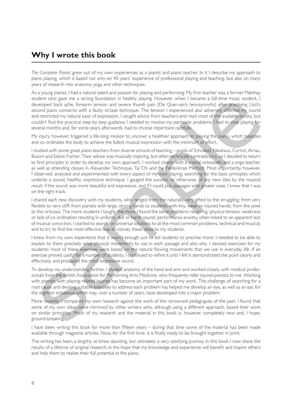# **Why I wrote this book**

*The Complete Pianist* grew out of my own experiences as a pianist and piano teacher. In it I describe my approach to piano playing, which is based not only on 40 years' experience of professional playing and teaching, but also on many years of research into anatomy, yoga and other techniques.

As a young pianist, I had a natural talent and passion for playing and performing. My first teacher was a former Matthay student who gave me a strong foundation in healthy playing. However, when I became a full-time music student, I developed back ache, forearm tension and severe thumb pain (De Quervain's tenosynovitis) after practising Liszt's second piano concerto with a faulty octave technique. The tension I experienced also adversely affected my sound and restricted my natural ease of expression. I sought advice from teachers and read most of the available books, but couldn't find the practical step-by-step guidance I needed to resolve my particular problems. I had to stop playing for several months and, for some years afterwards, had to choose repertoire carefully.

My injury, however, triggered a life-long mission to uncover a healthier approach to playing the piano, which balances and co-ordinates the body to achieve the fullest musical expression with the minimum of effort.

I studied with some great piano teachers from diverse schools of teaching – pupils of Schnabel, Neuhaus, Cortot, Arrau, Busoni and Edwin Fischer. Their advice was musically inspiring, but often technically contradictory, so I decided to return to first principles in order to develop my own approach. I worked closely with a cranial osteopath and a yoga teacher, as well as attending classes in Alexander Technique, Tai Chi and the Feldenkrais Method. Most importantly, however, I observed, analyzed and experimented with every aspect of my own playing, searching for the basic principles which underlie a sound, healthy, expressive technique. I gauged the success, or otherwise, of any new idea by the musical result: if the sound was more beautiful and expressive, and if I could play passages with greater ease, I knew that I was on the right track. usive user or as usive, foundalon in healthy bying, However, when I beauting all lating models. The particular whole the constraints are a single points of the particle in the particle of the constraints are a statificatio

I shared each new discovery with my students, who ranged from the naturally very gifted to the struggling; from very flexible to very stiff; from pianists with large, strong hands to students with tiny, weak or injured hands; from the poet to the virtuoso. The more students I taught, the more I found the same problems recurring: physical tension, weakness or lack of co-ordination resulting in uniform, dull or harsh sound; performance anxiety, often linked to an apparent lack of musical conviction. I started to search for universal solutions to all the most common problems, technical and musical, and to try to find the most effective way to convey these ideas to my students.

I knew from my own experience that it wasn't enough just to tell students to practise more: I needed to be able to explain to them precisely what physical movements to use in each passage and also why. I devised exercises for my students; most of these exercises were based on the natural flowing movements that we use in everyday life. If an exercise proved useful for a number of students, I continued to refine it until I felt it demonstrated the point clearly and effectively, and produced the most expressive sound.

To develop my understanding further, I studied anatomy of the hand and arm and worked closely with medical professionals from the British Association for Performing Arts Medicine, who frequently refer injured pianists to me. Working with pianists with playing-related injuries has become an important part of my work. The challenge of searching for a root cause and devising suitable exercises to address each problem has helped me develop an eye, as well as an ear, for the slightest imbalance which may, over a number of years, have developed into a major problem.

More recently, I compared my own research against the work of the renowned pedagogues of the past. I found that some of my own ideas were mirrored by other writers who, although using a different approach, based their work on similar principles. Much of my research and the material in this book is, however, completely new and, I hope, ground-breaking.

I have been writing this book for more than fifteen years – during that time some of the material has been made available through magazine articles. Now, for the first time, it is finally ready to be brought together in print.

The writing has been a lengthy, at times daunting, but ultimately a very satisfying journey. In this book I now share the results of a lifetime of original research in the hope that my knowledge and experience will benefit and inspire others and help them to realize their full potential at the piano.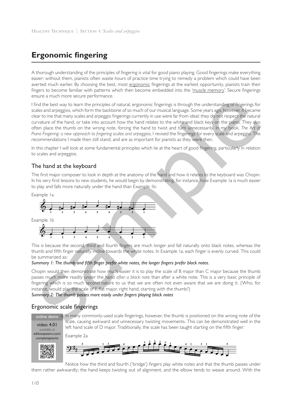# **Ergonomic fingering**

A thorough understanding of the principles of fingering is vital for good piano playing. Good fingerings make everything easier; without them, pianists often waste hours of practice time trying to remedy a problem which could have been averted much earlier. By choosing the best, most ergonomic fingerings at the earliest opportunity, pianists train their fingers to become familiar with patterns which then become embedded into the 'muscle memory'. Secure fingerings ensure a much more secure performance.

I find the best way to learn the principles of natural, ergonomic fingerings is through the understanding of fingerings for scales and arpeggios, which form the backbone of so much of our musical language. Some years ago, however, it became clear to me that many scales and arpeggio fingerings currently in use were far from ideal: they do not respect the natural curvature of the hand, or take into account how the hand relates to the white and black keys on the piano. They also often place the thumb on the wrong note, forcing the hand to twist and turn unnecessarily. In my book, *The Art of Piano Fingering: a new approach to fingering scales and arpeggios*, I revised the fingerings for every scale and arpeggio. The recommendations I made then still stand, and are as important for pianists as they were then. since in in control of the control of the control of the control of the control of the control of the control of the control of the control of the control of the control of the control of the control of the control of the

In this chapter I will look at some fundamental principles which lie at the heart of good fingering, particularly in relation to scales and arpeggios.

#### The hand at the keyboard

The first major composer to look in depth at the anatomy of the hand and how it relates to the keyboard was Chopin. In his very first lessons to new students, he would begin by demonstrating, for instance, how Example 1a is much easier to play and falls more naturally under the hand than Example 1b:



This is because the second, third and fourth fingers are much longer and fall naturally onto black notes, whereas the thumb and fifth finger naturally incline towards the white notes. In Example 1a, each finger is evenly curved. This could be summarized as:

#### *Summary 1: The thumb and fifth finger prefer white notes, the longer fingers prefer black notes.*

Chopin would then demonstrate how much easier it is to play the scale of B major than C major because the thumb passes much more readily under the hand *after a black note* than after a white note. This is a very basic principle of fingering which is so much second nature to us that we are often not even aware that we are doing it. (Who, for instance, would play the scale of E flat major, right hand, starting with the thumb?)

*Summary 2: The thumb passes more easily under fingers playing black notes* 

#### Ergonomic scale fingerings

video 4.01 *available at* editionpeters.com/ online demo In many commonly-used scale fingerings, however, the thumb is positioned on the wrong note of the scale, causing awkward and unnecessary twisting movements. This can be demonstrated well in the left hand scale of D major. Traditionally, the scale has been taught starting on the fifth finger:

completepianist Example 2a



Notice how the third and fourth ('bridge') fingers play white notes and that the thumb passes under them rather awkwardly; the hand keeps twisting out of alignment, and the elbow tends to weave around. With the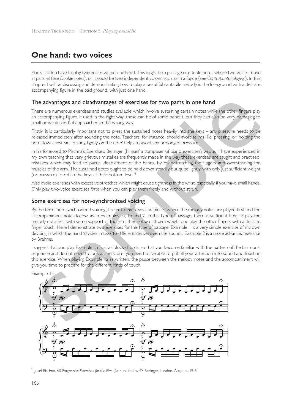# **One hand: two voices**

Pianists often have to play two voices within one hand. This might be a passage of double notes where two voices move in parallel (see *Double notes*); or it could be two independent voices, such as in a fugue (see *Contrapuntal playing*). In this chapter I will be discussing and demonstrating how to play a beautiful cantabile melody in the foreground with a delicate accompanying figure in the background, with just one hand.

#### The advantages and disadvantages of exercises for two parts in one hand

There are numerous exercises and studies available which involve sustaining certain notes while the other fingers play an accompanying figure. If used in the right way, these can be of some benefit, but they can also be very damaging to small or weak hands if approached in the wrong way.

Firstly, it is particularly important not to press the sustained notes heavily into the keys – any pressure needs to be released immediately after sounding the note. Teachers, for instance, should avoid terms like 'pressing' or 'holding the note down': instead, 'resting lightly on the note' helps to avoid any prolonged pressure.

In his foreword to Pischna's Exercises, Beringer (himself a composer of piano exercises) wrote, 'I have experienced in my own teaching that very grievous mistakes are frequently made in the way these exercises are taught and practised: mistakes which may lead to partial disablement of the hands, by over-stretching the fingers and overstraining the muscles of the arm. The sustained notes ought to be held down steadily but quite lightly, with only just sufficient weight (or pressure) to retain the keys at their bottom level.'<sup>1</sup>

Also avoid exercises with excessive stretches which might cause tightness in the wrist, especially if you have small hands. Only play two-voice exercises *forte* when you can play them freely and without strain.

#### Some exercises for non-synchronized voicing

By the term 'non-synchronized voicing', I refer to exercises and pieces where the melody notes are played first and the accompaniment notes follow, as in Examples 1a, 1b and 2. In this type of passage, there is sufficient time to play the melody note first with some support of the arm, then release all arm weight and play the other fingers with a delicate finger touch. Here I demonstrate two exercises for this type of passage. Example 1 is a very simple exercise of my own devising in which the hand 'divides in two' to differentiate between the sounds. Example 2 is a more advanced exercise by Brahms.

I suggest that you play Example 1a first as block chords, so that you become familiar with the pattern of the harmonic sequence and do not need to look at the score: you need to be able to put all your attention into sound and touch in this exercise. When playing Example 1a as written, the pause between the melody notes and the accompaniment will give you time to prepare for the different kinds of touch.



Example 1a

<sup>1</sup> Josef Pischna, *60 Progressive Exercises for the Pianoforte*, edited by O. Beringer, London, Augener, 1915.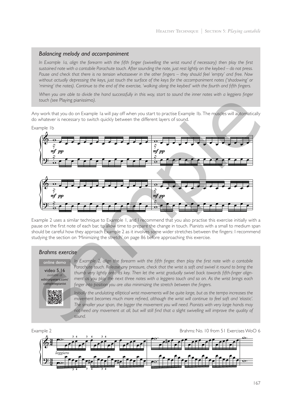#### *Balancing melody and accompaniment*

In Example 1a, align the forearm with the fifth finger (swivelling the wrist round if necessary) then play the first *sustained note with a cantabile Parachute touch. After sounding the note, just rest lightly on the keybed – do not press. Pause and check that there is no tension whatsoever in the other fingers – they should feel 'empty' and free. Now without actually depressing the keys, just touch the surface of the keys for the accompaniment notes ('shadowing' or 'miming' the notes). Continue to the end of the exercise, 'walking along the keybed' with the fourth and fifth fingers.* 

When you are able to divide the hand successfully in this way, start to sound the inner notes with a leggiero finger *touch (see* Playing pianissimo*).* 

Any work that you do on Example 1a will pay off when you start to practise Example 1b. The muscles will automatically do whatever is necessary to switch quickly between the different layers of sound.

Example 1b





Example 2 uses a similar technique to Example 1, and I recommend that you also practise this exercise initially with a pause on the first note of each bar, to allow time to prepare the change in touch. Pianists with a small to medium span should be careful how they approach Example 2 as it involves some wider stretches between the fingers: I recommend studying the section on 'Minimizing the stretch' on page 86 before approaching this exercise.

#### *Brahms exercise*

video 5.16 *available at* editionpeters.com/ completepianist



online demo *In Example 2, align the forearm with the fifth finger, then play the first note with a cantabile Parachute touch. Release any pressure, check that the wrist is soft and swivel it round to bring the thumb very lightly onto its key. Then let the wrist gradually swivel back towards fifth-finger alignment as you play the next three notes with a leggiero touch and so on. As the wrist brings each finger into position you are also minimizing the stretch between the fingers.*

> *Initially the undulating elliptical wrist movements will be quite large, but as the tempo increases the movement becomes much more refined, although the wrist will continue to feel soft and 'elastic'. The smaller your span, the bigger the movement you will need. Pianists with very large hands may not need any movement at all, but will still find that a slight swivelling will improve the quality of sound.*

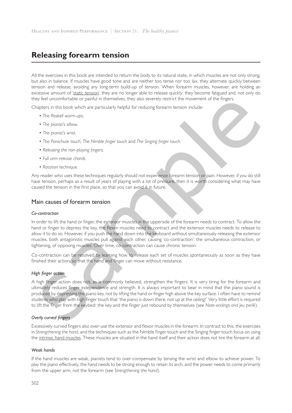# **Releasing forearm tension**

All the exercises in this book are intended to return the body to its natural state, in which muscles are not only strong, but also in balance. If muscles have good tone and are neither too tense nor too lax, they alternate quickly between tension and release, avoiding any long-term build-up of tension. When forearm muscles, however, are holding an excessive amount of 'static tension', they are no longer able to release quickly: they become fatigued and, not only do they feel uncomfortable or painful in themselves, they also severely restrict the movement of the fingers.

Chapters in this book which are particularly helpful for reducing forearm tension include:

- *• The Roskell warm-ups*.
- *• The pianist's elbow*.
- *• The pianist's wrist*.
- *• The Parachute touch*, *The Nimble finger touch* and *The Singing finger touch*.
- *• Releasing the non-playing fingers*.
- *• Full arm-release chords*.
- *• Rotation technique*.

Any reader who uses these techniques regularly should not experience forearm tension or pain. However, if you do still have tension, perhaps as a result of years of playing with a lot of pressure, then it is worth considering what may have caused the tension in the first place, so that you can avoid it in future.

#### Main causes of forearm tension

#### *Co-contraction*

In order to lift the hand or finger, the extensor muscles in the upperside of the forearm needs to contract. To allow the hand or finger to depress the key, the flexor muscles need to contract and the extensor muscles needs to release to allow it to do so. However, if you push the hand down into the keyboard without simultaneously releasing the extensor muscles, both antagonistic muscles pull against each other, causing 'co-contraction': the simultaneous contraction, or tightening, of opposing muscles. Over time, co-contraction can cause chronic tension. by feel uncomfortable or painful in themselves, they also severely restrict the movement of the fingers.<br>
The phone of work which are particularly helpful for resturing forearm tension include:<br>
The phone of work which are

Co-contraction can be resolved by learning how to release each set of muscles spontaneously as soon as they have finished their action, so that the hand and finger can move without resistance.

#### *High finger action*

A high finger action does not, as is commonly believed, strengthen the fingers. It is very tiring for the forearm and ultimately reduces finger independence and strength. It is always important to bear in mind that the piano sound is produced by depressing the piano key, not by lifting the hand or finger high above the key surface. I often have to remind students who play with high finger touch that 'the piano is down there, not up at the ceiling!' Very little effort is required to lift the finger from the keybed: the key and the finger just rebound by themselves (see *Note-endings and jeu perlé*).

#### *Overly curved fingers*

Excessively curved fingers also over-use the extensor and flexor muscles in the forearm. In contrast to this, the exercises in *Strengthening the hand*, and the techniques such as the Nimble finger touch and the Singing finger touch focus on using the intrinsic hand muscles. These muscles are situated in the hand itself and their action does not tire the forearm at all.

#### *Weak hands*

If the hand muscles are weak, pianists tend to over-compensate by tensing the wrist and elbow to achieve power. To play the piano effectively, the hand needs to be strong enough to retain its arch, and the power needs to come primarily from the upper arm, not the forearm (see *Strengthening the hand*).